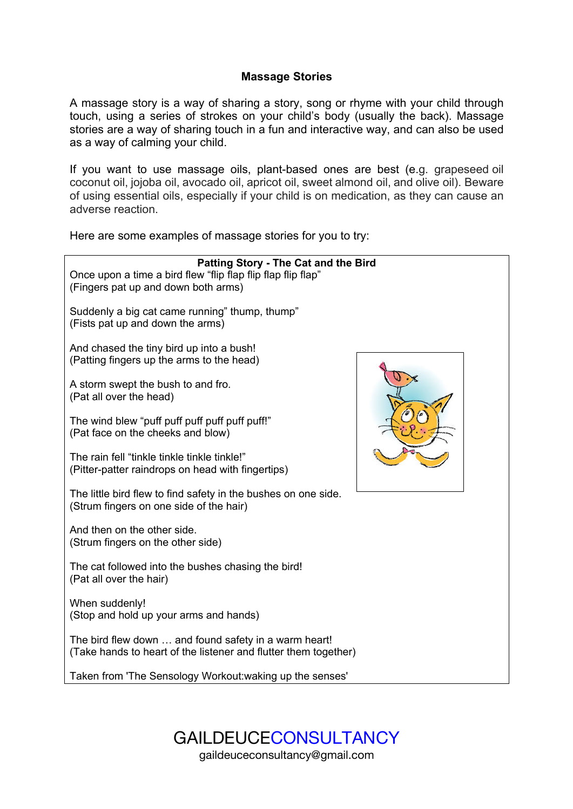# **Massage Stories**

A massage story is a way of sharing a story, song or rhyme with your child through touch, using a series of strokes on your child's body (usually the back). Massage stories are a way of sharing touch in a fun and interactive way, and can also be used as a way of calming your child.

If you want to use massage oils, plant-based ones are best (e.g. grapeseed oil coconut oil, jojoba oil, avocado oil, apricot oil, sweet almond oil, and olive oil). Beware of using essential oils, especially if your child is on medication, as they can cause an adverse reaction.

Here are some examples of massage stories for you to try:





gaildeuceconsultancy@gmail.com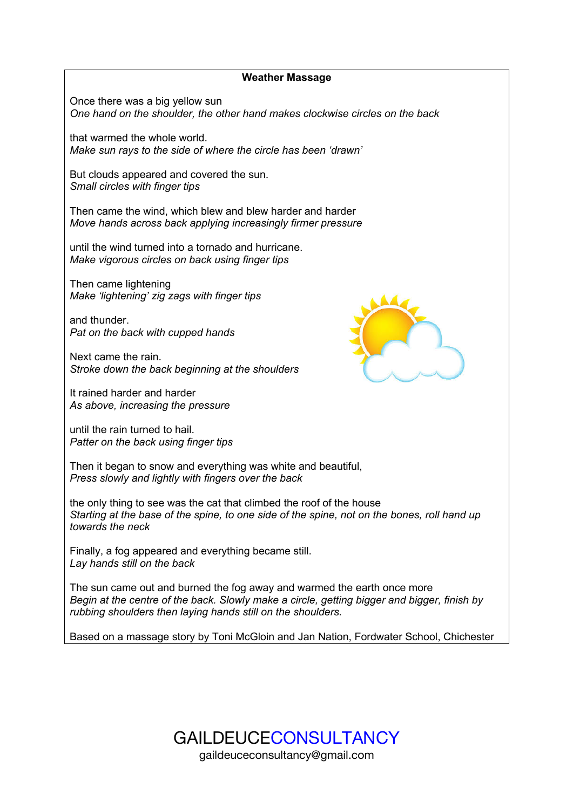### **Weather Massage**

Once there was a big yellow sun *One hand on the shoulder, the other hand makes clockwise circles on the back*

that warmed the whole world. *Make sun rays to the side of where the circle has been 'drawn'*

But clouds appeared and covered the sun. *Small circles with finger tips*

Then came the wind, which blew and blew harder and harder *Move hands across back applying increasingly firmer pressure*

until the wind turned into a tornado and hurricane. *Make vigorous circles on back using finger tips*

Then came lightening *Make 'lightening' zig zags with finger tips*

and thunder. *Pat on the back with cupped hands*

Next came the rain. *Stroke down the back beginning at the shoulders*

It rained harder and harder *As above, increasing the pressure*

until the rain turned to hail. *Patter on the back using finger tips*



Then it began to snow and everything was white and beautiful, *Press slowly and lightly with fingers over the back*

the only thing to see was the cat that climbed the roof of the house *Starting at the base of the spine, to one side of the spine, not on the bones, roll hand up towards the neck*

Finally, a fog appeared and everything became still. *Lay hands still on the back*

The sun came out and burned the fog away and warmed the earth once more *Begin at the centre of the back. Slowly make a circle, getting bigger and bigger, finish by rubbing shoulders then laying hands still on the shoulders.*

Based on a massage story by Toni McGloin and Jan Nation, Fordwater School, Chichester

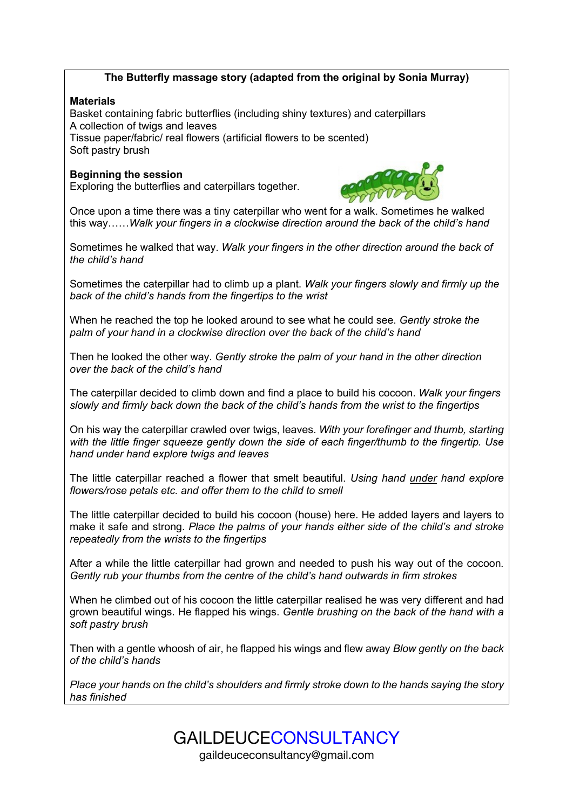## **The Butterfly massage story (adapted from the original by Sonia Murray)**

### **Materials**

Basket containing fabric butterflies (including shiny textures) and caterpillars A collection of twigs and leaves Tissue paper/fabric/ real flowers (artificial flowers to be scented) Soft pastry brush

### **Beginning the session**

Exploring the butterflies and caterpillars together.



Once upon a time there was a tiny caterpillar who went for a walk. Sometimes he walked this way……*Walk your fingers in a clockwise direction around the back of the child's hand*

Sometimes he walked that way. *Walk your fingers in the other direction around the back of the child's hand*

Sometimes the caterpillar had to climb up a plant. *Walk your fingers slowly and firmly up the back of the child's hands from the fingertips to the wrist*

When he reached the top he looked around to see what he could see. *Gently stroke the palm of your hand in a clockwise direction over the back of the child's hand*

Then he looked the other way. *Gently stroke the palm of your hand in the other direction over the back of the child's hand*

The caterpillar decided to climb down and find a place to build his cocoon. *Walk your fingers slowly and firmly back down the back of the child's hands from the wrist to the fingertips*

On his way the caterpillar crawled over twigs, leaves. *With your forefinger and thumb, starting with the little finger squeeze gently down the side of each finger/thumb to the fingertip. Use hand under hand explore twigs and leaves*

The little caterpillar reached a flower that smelt beautiful. *Using hand under hand explore flowers/rose petals etc. and offer them to the child to smell*

The little caterpillar decided to build his cocoon (house) here. He added layers and layers to make it safe and strong. *Place the palms of your hands either side of the child's and stroke repeatedly from the wrists to the fingertips*

After a while the little caterpillar had grown and needed to push his way out of the cocoon. *Gently rub your thumbs from the centre of the child's hand outwards in firm strokes*

When he climbed out of his cocoon the little caterpillar realised he was very different and had grown beautiful wings. He flapped his wings. *Gentle brushing on the back of the hand with a soft pastry brush*

Then with a gentle whoosh of air, he flapped his wings and flew away *Blow gently on the back of the child's hands*

*Place your hands on the child's shoulders and firmly stroke down to the hands saying the story has finished*



gaildeuceconsultancy@gmail.com